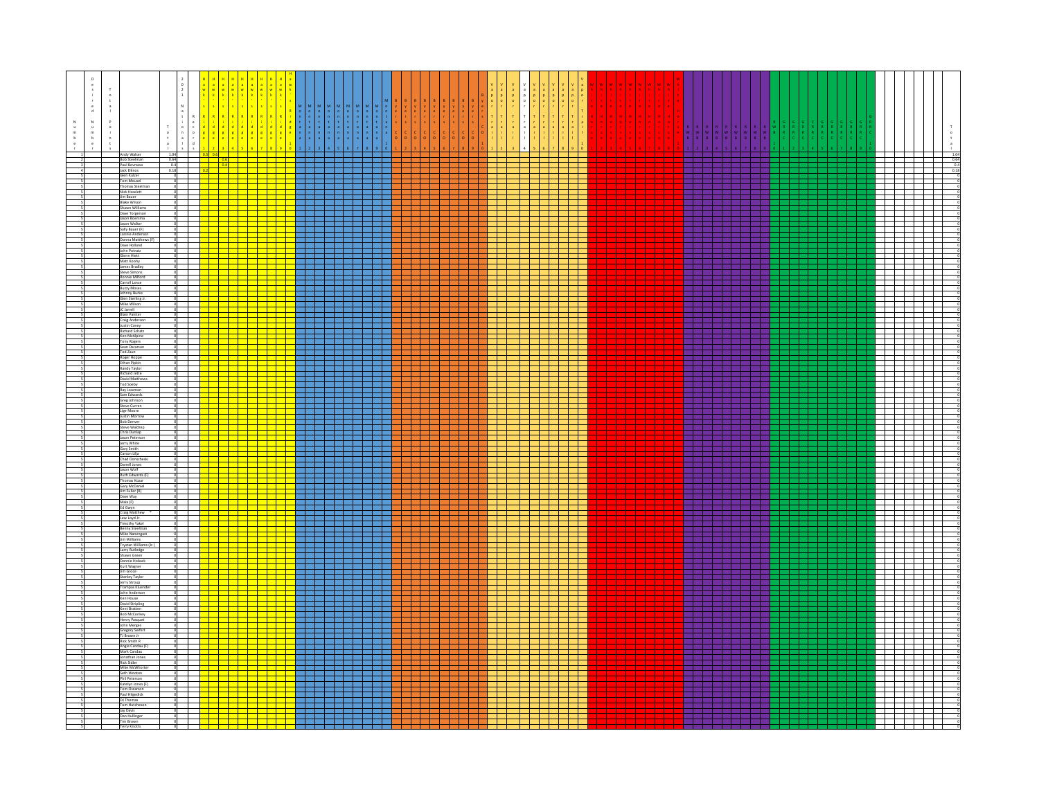| $\mathsf D$<br>${\mathbb N}$<br>$_\mathrm{b}^\mathrm{m}$ | Andy Walser<br>Bob Steelman<br>Paul Bovrassa                  | 1.04                  | $S$ 0.6 |                                                                                                                              |                                                |  |                                                                                                                                          | $\begin{array}{c c} & 1.04 \\ \hline & 0.64 \\ \hline & 0.4 \\ \hline & 0.18 \end{array}$<br>an di sebagai pengaran pada karena dan pada karena dan pada karena dalam pada atau salah salah salah salah sa |
|----------------------------------------------------------|---------------------------------------------------------------|-----------------------|---------|------------------------------------------------------------------------------------------------------------------------------|------------------------------------------------|--|------------------------------------------------------------------------------------------------------------------------------------------|------------------------------------------------------------------------------------------------------------------------------------------------------------------------------------------------------------|
|                                                          | Jack Elknos                                                   | $0.64$<br>0.4<br>0.18 |         | - 11<br><u>e a d</u><br>- 11                                                                                                 |                                                |  | П<br><b>STATISTICS</b>                                                                                                                   | 1 H H H                                                                                                                                                                                                    |
|                                                          | Glen Kulzer<br><b>Tom Mousel</b>                              |                       |         |                                                                                                                              | <b>The Common</b>                              |  | $\mathbf{1}$                                                                                                                             | T T T T T                                                                                                                                                                                                  |
|                                                          | Thomas Steelman<br>Nick Howlett<br>Jim Bauer                  |                       |         |                                                                                                                              | and the state of the state<br>. .              |  | 二<br><b>START</b>                                                                                                                        | a da bar                                                                                                                                                                                                   |
|                                                          | <b>Blake Wilson</b><br>Shawn Williams                         |                       |         | <u> Tarta da ba</u>                                                                                                          | and the state of the state                     |  | a sa B<br>and the state                                                                                                                  | <u> Tanzania de la contrada de la con</u><br>.                                                                                                                                                             |
|                                                          | Dave Torgerso<br>Jason Boersma<br>Jason Walker                |                       |         |                                                                                                                              |                                                |  |                                                                                                                                          | 22 32 32                                                                                                                                                                                                   |
|                                                          | Sally Bauer (F)<br>Lonnie Anderson                            |                       |         | <del>- 1999   1999   1999</del><br>- <del>1999   1999   1999</del><br>- 1999   1999   1999   1999                            |                                                |  | T.<br>a kacamatan ing Kabupatén Ing Kabupatén Ing Kabupatén Ing Kabupatén Ing Kabupatén Ing Kabupatén Ing Kabupatén<br>1                 |                                                                                                                                                                                                            |
|                                                          | Donna Matthews (F)<br>Dave Holland<br>John Potratz            |                       |         |                                                                                                                              | and the state<br>. .                           |  | a politi<br><b>The State</b><br>a shekara                                                                                                | <u> a shekara t</u>                                                                                                                                                                                        |
|                                                          | Glenn Hiett<br>Matt Koohy                                     |                       |         | <u> 1945 - Jacque</u>                                                                                                        |                                                |  | - 11                                                                                                                                     | .<br>22 S S S S                                                                                                                                                                                            |
|                                                          | James Bradley<br><b>Steve Simons</b><br>Ionnie Milfori        |                       |         |                                                                                                                              | and a more<br>. .                              |  | a di Bandar                                                                                                                              | .                                                                                                                                                                                                          |
|                                                          | Carroll Lance<br><b>Buzzy Moses</b>                           |                       |         |                                                                                                                              | and the state of the state                     |  | <b>The Company</b>                                                                                                                       | <u> Tarihi</u>                                                                                                                                                                                             |
|                                                          | Johnny Burke<br>Glen Sterling Jr.<br>Mike Wilson              |                       |         |                                                                                                                              | and the state of the state                     |  | d - 1 - 1                                                                                                                                |                                                                                                                                                                                                            |
|                                                          | JC Jarrell<br><b>Blain Painter</b>                            |                       |         |                                                                                                                              | and the company of the company                 |  | and the state of the state<br>and the state of the state                                                                                 | .<br>.<br>a da baixa a san an san an s                                                                                                                                                                     |
|                                                          | Craig Anderson<br>Justin Covey<br>Richard Schatz              |                       |         |                                                                                                                              | and the state                                  |  |                                                                                                                                          |                                                                                                                                                                                                            |
|                                                          | Ken McAlpine                                                  |                       |         |                                                                                                                              |                                                |  |                                                                                                                                          | 22 S.E                                                                                                                                                                                                     |
|                                                          | Tony Rogers<br>Sean Oscarson<br>Tod Zaun                      |                       |         |                                                                                                                              | a di Bandaria                                  |  |                                                                                                                                          | T T T T                                                                                                                                                                                                    |
|                                                          | Roger Hoppe<br>Ethan Pipkin<br>Randy Taylor                   |                       |         |                                                                                                                              | and the con-                                   |  |                                                                                                                                          | da birli                                                                                                                                                                                                   |
|                                                          | <b>Richard Jette</b><br>David Matthews                        |                       |         |                                                                                                                              |                                                |  | $\mathbf{r}$                                                                                                                             |                                                                                                                                                                                                            |
|                                                          | Tod Soeby<br>Ray Lowman<br>Sam Edwards                        |                       |         |                                                                                                                              | and the property of<br>. .                     |  | a katika T<br>$\sim$                                                                                                                     | T T T T T<br>a da wasan ƙafa ta ƙ<br>7 H H H                                                                                                                                                               |
|                                                          | Greg Johnson<br>Steve Curren                                  |                       |         |                                                                                                                              |                                                |  |                                                                                                                                          |                                                                                                                                                                                                            |
|                                                          | Lige Moore<br>Justin Morrow<br><b>Bob Denver</b>              |                       |         | <del>╎╎╎╎╒╝╤╝╗┆┆╎</del><br>┼┼┼┼┼┽┽┽┽┽┽<br>┼┼┼┼┼┽┽┽┽┽┽                                                                        |                                                |  |                                                                                                                                          | <u> Territoria e pro</u>                                                                                                                                                                                   |
|                                                          | Steve Waldrep<br>Chris Dunlap                                 |                       |         |                                                                                                                              | the contract of the con-                       |  | and the state of the state<br>a di kacamatan Ing<br>a katika Manazarta                                                                   | .                                                                                                                                                                                                          |
|                                                          | Jason Peterso<br>Jerry White<br>Gary Smith                    |                       |         |                                                                                                                              |                                                |  |                                                                                                                                          | <u> Heleni</u><br>$\mathbf{I}$                                                                                                                                                                             |
|                                                          | Carson Lilja<br>Chad Donscheski<br>Darrell Jones              |                       |         |                                                                                                                              | and the company                                |  | a katika Tanzania<br><u> 1959 - 1959 - 1959 - 1959 - 1959 - 1959 - 1959 - 1959 - 1959 - 1959 - 1959 - 1959 - 1959 - 1959 - 1959 - 19</u> | a da bar                                                                                                                                                                                                   |
|                                                          | Jason Wolf<br>Ruth Edwards (F                                 |                       |         |                                                                                                                              | and the state of the state<br>and the state of |  | $\mathbf{u}$<br><b>STATISTICS</b>                                                                                                        | .                                                                                                                                                                                                          |
|                                                          | Thomas Kozar<br>Gary McDaniel<br>Jim Fuller (R)               |                       |         |                                                                                                                              |                                                |  | -11                                                                                                                                      |                                                                                                                                                                                                            |
|                                                          | Dave Way<br>Maia (F)                                          |                       |         |                                                                                                                              | and the state<br>. .                           |  | and the state<br>a Ba<br>a a T                                                                                                           |                                                                                                                                                                                                            |
|                                                          | Ed Gwyn<br>Craig Matthew                                      |                       |         |                                                                                                                              |                                                |  | <b>Contract Contract</b>                                                                                                                 | .<br><u> 1959 - 1959 - 1959 - 1959 - 1959 - 1959 - 1959 - 1959 - 1959 - 1959 - 1959 - 1959 - 1959 - 1959 - 1959 - 19</u>                                                                                   |
|                                                          | Lew Loyd Jr.<br><b>Timothy Yakel</b><br>Benny Steelman        |                       |         |                                                                                                                              |                                                |  | $\mathbb{R}$<br>$\overline{\phantom{a}}$                                                                                                 |                                                                                                                                                                                                            |
|                                                          | Mike Nanengast<br>Jim Williams                                |                       |         |                                                                                                                              | and the contract of the con-                   |  | and the state<br>- 11<br><b>Contract</b>                                                                                                 |                                                                                                                                                                                                            |
|                                                          | Trystan Williams (Jr.)<br>Larry Rutledge<br>Shawn Green       |                       |         |                                                                                                                              | . .                                            |  | H.<br>$\blacksquare$                                                                                                                     |                                                                                                                                                                                                            |
|                                                          | Donnie Hoback<br>Kurt Wagner                                  |                       |         |                                                                                                                              |                                                |  |                                                                                                                                          | <u> Helen</u><br>---                                                                                                                                                                                       |
|                                                          | Jim Groce<br>Stanley Taylor                                   |                       |         |                                                                                                                              | and the state                                  |  |                                                                                                                                          |                                                                                                                                                                                                            |
|                                                          | Jerry Stroup<br>Trampas Kluenc<br>John Anderson               |                       |         |                                                                                                                              | il a la<br>and the state of the state          |  |                                                                                                                                          |                                                                                                                                                                                                            |
|                                                          | Ken House<br>David Stripling                                  |                       |         |                                                                                                                              | and the state of the                           |  | - 11<br>$\mathbf{1}$                                                                                                                     | T T T T T                                                                                                                                                                                                  |
|                                                          | Kent Bratten<br>Bob McConkey<br>Henry Pasquet                 |                       |         |                                                                                                                              | and the state of the state                     |  |                                                                                                                                          | <u> Tanzania de la pro</u>                                                                                                                                                                                 |
|                                                          | John Merges<br>Gregory Seifert<br>TJ Brown Jr<br>Rick Smith R |                       |         |                                                                                                                              |                                                |  |                                                                                                                                          | $\mathbf{I}$                                                                                                                                                                                               |
|                                                          | Angie Candau (F)                                              |                       |         | <u> Die Beleid</u>                                                                                                           |                                                |  |                                                                                                                                          | <u> Harry Star</u><br>a shekarar 1971                                                                                                                                                                      |
|                                                          | Mark Candau<br>Jonathan Jones                                 |                       |         | والسارات السراسر استراسات                                                                                                    |                                                |  | T                                                                                                                                        |                                                                                                                                                                                                            |
|                                                          | Rick Sidler<br>Mike McWhorter<br>Seth Wooten<br>Phil Peterson |                       |         | <mark>de la statuta d</mark> e la statuta de la statuta de la statuta de la statuta del segundo de la statuta del segundo de |                                                |  |                                                                                                                                          | $\overline{\phantom{a}}$                                                                                                                                                                                   |
|                                                          | Katelyn Jones (F)<br>Tom Oscarson                             |                       |         | <mark>┽┽╾┋╪╪╧╪╧┋</mark>                                                                                                      | <u> La Bart</u>                                |  |                                                                                                                                          | .<br>3 3 3 3 3 4                                                                                                                                                                                           |
|                                                          | Paul Hilgedick<br>DJ Thomas<br>Tom Hutcheson                  |                       |         |                                                                                                                              | . .                                            |  | - 11                                                                                                                                     |                                                                                                                                                                                                            |
|                                                          | Jay Davis<br>Dan Hullinger                                    |                       |         | <mark>╅╌╁╼╁╾╁╾╅═╁╼╁╼╁╾╂</mark>                                                                                               |                                                |  |                                                                                                                                          | e de la p                                                                                                                                                                                                  |
|                                                          | Tim Brown<br>Terry Knotts                                     |                       |         |                                                                                                                              |                                                |  |                                                                                                                                          |                                                                                                                                                                                                            |